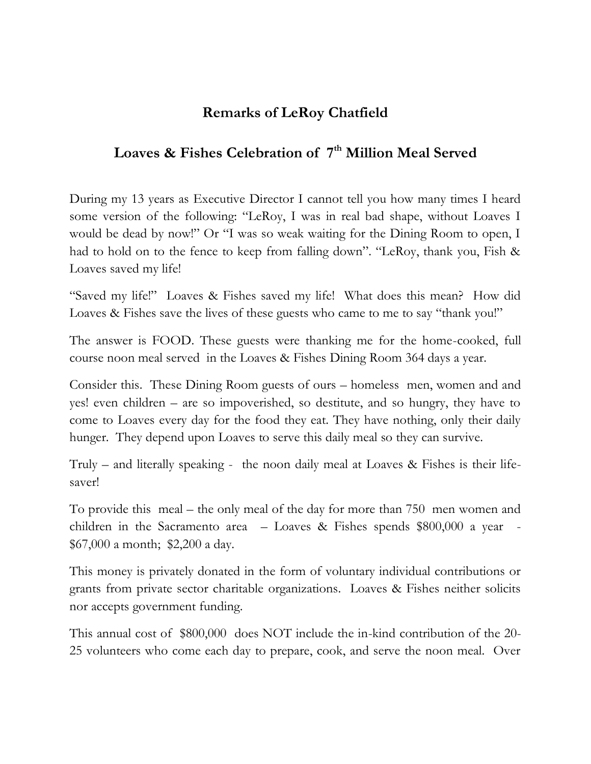## **Remarks of LeRoy Chatfield**

## **Loaves & Fishes Celebration of 7 th Million Meal Served**

During my 13 years as Executive Director I cannot tell you how many times I heard some version of the following: "LeRoy, I was in real bad shape, without Loaves I would be dead by now!" Or "I was so weak waiting for the Dining Room to open, I had to hold on to the fence to keep from falling down". "LeRoy, thank you, Fish & Loaves saved my life!

"Saved my life!" Loaves & Fishes saved my life! What does this mean? How did Loaves & Fishes save the lives of these guests who came to me to say "thank you!"

The answer is FOOD. These guests were thanking me for the home-cooked, full course noon meal served in the Loaves & Fishes Dining Room 364 days a year.

Consider this. These Dining Room guests of ours – homeless men, women and and yes! even children – are so impoverished, so destitute, and so hungry, they have to come to Loaves every day for the food they eat. They have nothing, only their daily hunger. They depend upon Loaves to serve this daily meal so they can survive.

Truly – and literally speaking - the noon daily meal at Loaves & Fishes is their lifesaver!

To provide this meal – the only meal of the day for more than 750 men women and children in the Sacramento area – Loaves & Fishes spends \$800,000 a year - \$67,000 a month; \$2,200 a day.

This money is privately donated in the form of voluntary individual contributions or grants from private sector charitable organizations. Loaves & Fishes neither solicits nor accepts government funding.

This annual cost of \$800,000 does NOT include the in-kind contribution of the 20- 25 volunteers who come each day to prepare, cook, and serve the noon meal. Over